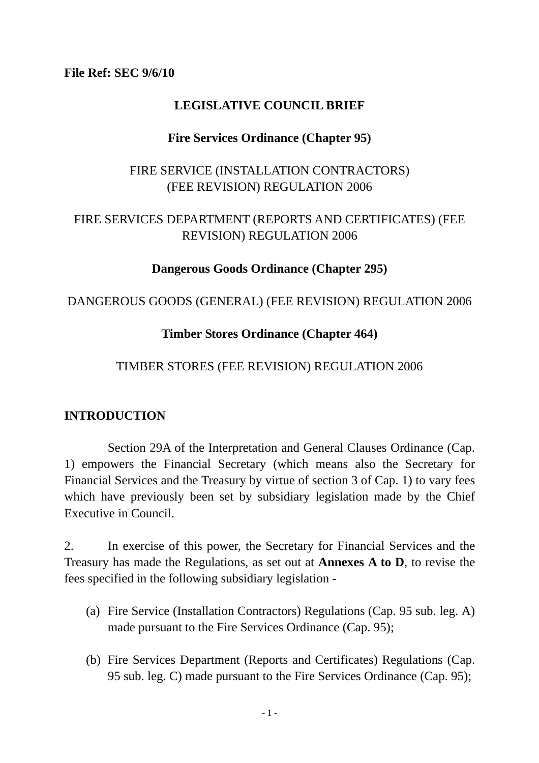**File Ref: SEC 9/6/10** 

### **LEGISLATIVE COUNCIL BRIEF**

### **Fire Services Ordinance (Chapter 95)**

### FIRE SERVICE (INSTALLATION CONTRACTORS) (FEE REVISION) REGULATION 2006

### FIRE SERVICES DEPARTMENT (REPORTS AND CERTIFICATES) (FEE REVISION) REGULATION 2006

### **Dangerous Goods Ordinance (Chapter 295)**

### DANGEROUS GOODS (GENERAL) (FEE REVISION) REGULATION 2006

### **Timber Stores Ordinance (Chapter 464)**

### TIMBER STORES (FEE REVISION) REGULATION 2006

### **INTRODUCTION**

 Section 29A of the Interpretation and General Clauses Ordinance (Cap. 1) empowers the Financial Secretary (which means also the Secretary for Financial Services and the Treasury by virtue of section 3 of Cap. 1) to vary fees which have previously been set by subsidiary legislation made by the Chief Executive in Council.

2. In exercise of this power, the Secretary for Financial Services and the Treasury has made the Regulations, as set out at **Annexes A to D**, to revise the fees specified in the following subsidiary legislation -

- (a) Fire Service (Installation Contractors) Regulations (Cap. 95 sub. leg. A) made pursuant to the Fire Services Ordinance (Cap. 95);
- (b) Fire Services Department (Reports and Certificates) Regulations (Cap. 95 sub. leg. C) made pursuant to the Fire Services Ordinance (Cap. 95);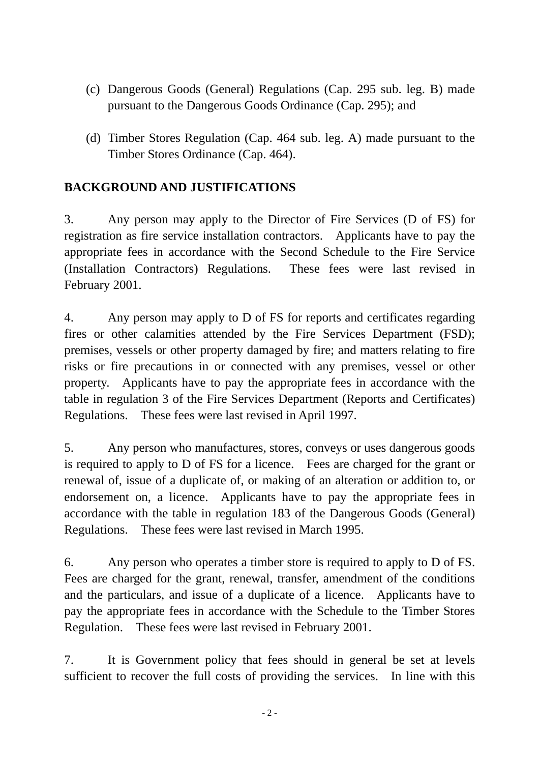- (c) Dangerous Goods (General) Regulations (Cap. 295 sub. leg. B) made pursuant to the Dangerous Goods Ordinance (Cap. 295); and
- (d) Timber Stores Regulation (Cap. 464 sub. leg. A) made pursuant to the Timber Stores Ordinance (Cap. 464).

### **BACKGROUND AND JUSTIFICATIONS**

3. Any person may apply to the Director of Fire Services (D of FS) for registration as fire service installation contractors. Applicants have to pay the appropriate fees in accordance with the Second Schedule to the Fire Service (Installation Contractors) Regulations. These fees were last revised in February 2001.

4. Any person may apply to D of FS for reports and certificates regarding fires or other calamities attended by the Fire Services Department (FSD); premises, vessels or other property damaged by fire; and matters relating to fire risks or fire precautions in or connected with any premises, vessel or other property. Applicants have to pay the appropriate fees in accordance with the table in regulation 3 of the Fire Services Department (Reports and Certificates) Regulations. These fees were last revised in April 1997.

5. Any person who manufactures, stores, conveys or uses dangerous goods is required to apply to D of FS for a licence. Fees are charged for the grant or renewal of, issue of a duplicate of, or making of an alteration or addition to, or endorsement on, a licence. Applicants have to pay the appropriate fees in accordance with the table in regulation 183 of the Dangerous Goods (General) Regulations. These fees were last revised in March 1995.

6. Any person who operates a timber store is required to apply to D of FS. Fees are charged for the grant, renewal, transfer, amendment of the conditions and the particulars, and issue of a duplicate of a licence. Applicants have to pay the appropriate fees in accordance with the Schedule to the Timber Stores Regulation. These fees were last revised in February 2001.

7. It is Government policy that fees should in general be set at levels sufficient to recover the full costs of providing the services. In line with this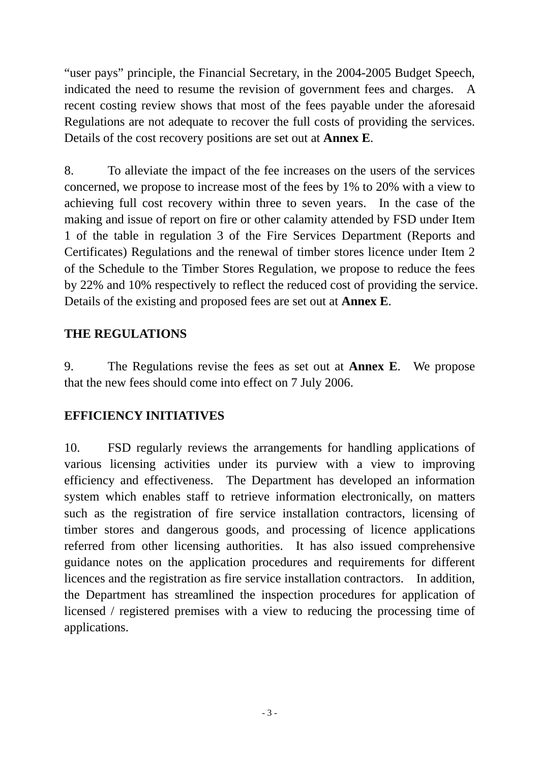"user pays" principle, the Financial Secretary, in the 2004-2005 Budget Speech, indicated the need to resume the revision of government fees and charges. A recent costing review shows that most of the fees payable under the aforesaid Regulations are not adequate to recover the full costs of providing the services. Details of the cost recovery positions are set out at **Annex E**.

8. To alleviate the impact of the fee increases on the users of the services concerned, we propose to increase most of the fees by 1% to 20% with a view to achieving full cost recovery within three to seven years. In the case of the making and issue of report on fire or other calamity attended by FSD under Item 1 of the table in regulation 3 of the Fire Services Department (Reports and Certificates) Regulations and the renewal of timber stores licence under Item 2 of the Schedule to the Timber Stores Regulation, we propose to reduce the fees by 22% and 10% respectively to reflect the reduced cost of providing the service. Details of the existing and proposed fees are set out at **Annex E**.

### **THE REGULATIONS**

9. The Regulations revise the fees as set out at **Annex E**. We propose that the new fees should come into effect on 7 July 2006.

### **EFFICIENCY INITIATIVES**

10. FSD regularly reviews the arrangements for handling applications of various licensing activities under its purview with a view to improving efficiency and effectiveness. The Department has developed an information system which enables staff to retrieve information electronically, on matters such as the registration of fire service installation contractors, licensing of timber stores and dangerous goods, and processing of licence applications referred from other licensing authorities. It has also issued comprehensive guidance notes on the application procedures and requirements for different licences and the registration as fire service installation contractors. In addition, the Department has streamlined the inspection procedures for application of licensed / registered premises with a view to reducing the processing time of applications.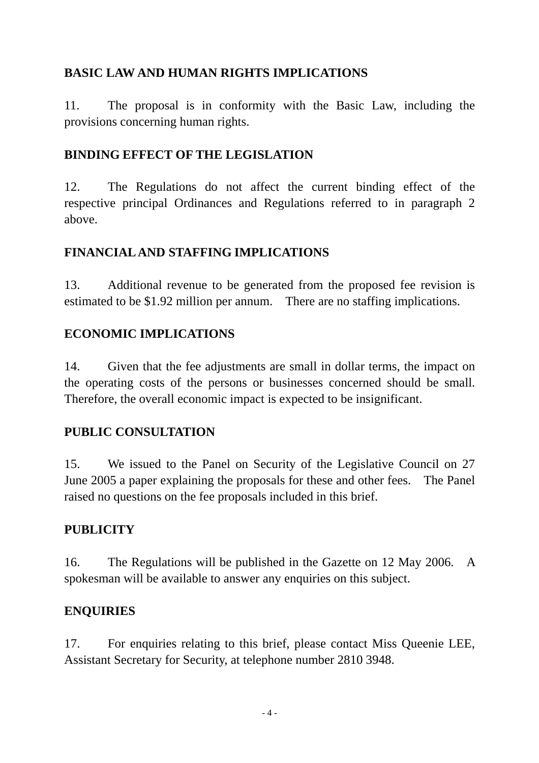## **BASIC LAW AND HUMAN RIGHTS IMPLICATIONS**

11. The proposal is in conformity with the Basic Law, including the provisions concerning human rights.

### **BINDING EFFECT OF THE LEGISLATION**

12. The Regulations do not affect the current binding effect of the respective principal Ordinances and Regulations referred to in paragraph 2 above.

### **FINANCIAL AND STAFFING IMPLICATIONS**

13. Additional revenue to be generated from the proposed fee revision is estimated to be \$1.92 million per annum. There are no staffing implications.

### **ECONOMIC IMPLICATIONS**

14. Given that the fee adjustments are small in dollar terms, the impact on the operating costs of the persons or businesses concerned should be small. Therefore, the overall economic impact is expected to be insignificant.

### **PUBLIC CONSULTATION**

15. We issued to the Panel on Security of the Legislative Council on 27 June 2005 a paper explaining the proposals for these and other fees. The Panel raised no questions on the fee proposals included in this brief.

### **PUBLICITY**

16. The Regulations will be published in the Gazette on 12 May 2006. A spokesman will be available to answer any enquiries on this subject.

### **ENQUIRIES**

17. For enquiries relating to this brief, please contact Miss Queenie LEE, Assistant Secretary for Security, at telephone number 2810 3948.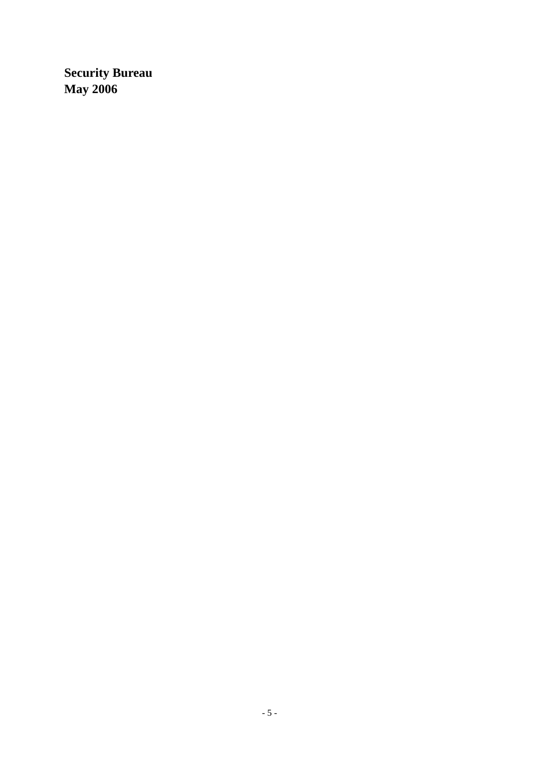**Security Bureau May 2006**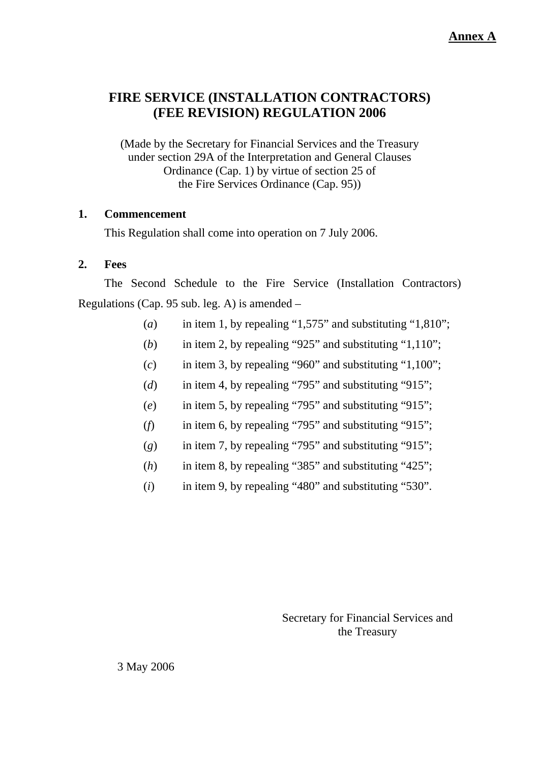### **FIRE SERVICE (INSTALLATION CONTRACTORS) (FEE REVISION) REGULATION 2006**

(Made by the Secretary for Financial Services and the Treasury under section 29A of the Interpretation and General Clauses Ordinance (Cap. 1) by virtue of section 25 of the Fire Services Ordinance (Cap. 95))

#### **1. Commencement**

This Regulation shall come into operation on 7 July 2006.

#### **2. Fees**

The Second Schedule to the Fire Service (Installation Contractors) Regulations (Cap. 95 sub. leg. A) is amended –

- (*a*) in item 1, by repealing "1,575" and substituting "1,810";
- (*b*) in item 2, by repealing "925" and substituting "1,110";
- $(c)$  in item 3, by repealing "960" and substituting "1,100";
- (*d*) in item 4, by repealing "795" and substituting "915";
- (*e*) in item 5, by repealing "795" and substituting "915";
- (*f*) in item 6, by repealing "795" and substituting "915";
- (*g*) in item 7, by repealing "795" and substituting "915";
- (*h*) in item 8, by repealing "385" and substituting "425";
- (*i*) in item 9, by repealing "480" and substituting "530".

Secretary for Financial Services and the Treasury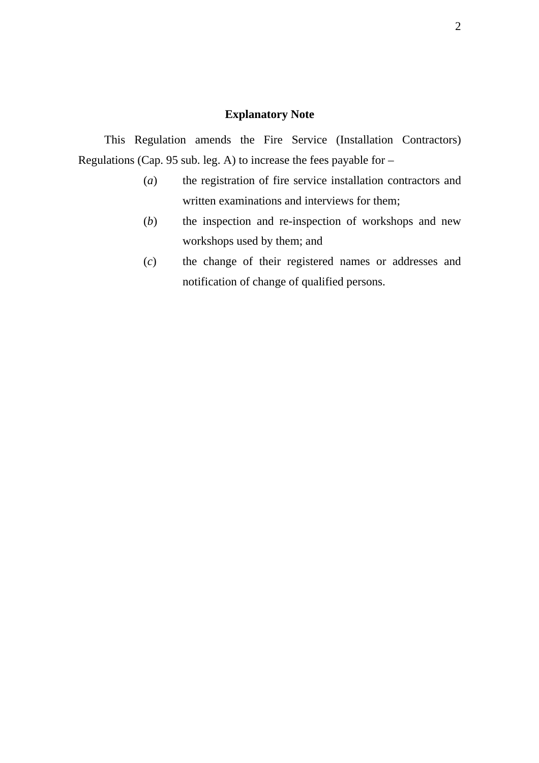### **Explanatory Note**

This Regulation amends the Fire Service (Installation Contractors) Regulations (Cap. 95 sub. leg. A) to increase the fees payable for –

- (*a*) the registration of fire service installation contractors and written examinations and interviews for them;
- (*b*) the inspection and re-inspection of workshops and new workshops used by them; and
- (*c*) the change of their registered names or addresses and notification of change of qualified persons.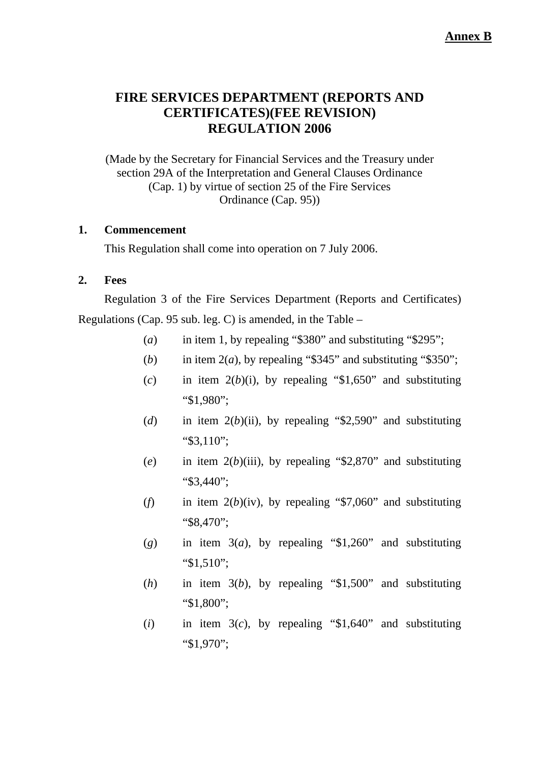**Annex B**

### **FIRE SERVICES DEPARTMENT (REPORTS AND CERTIFICATES)(FEE REVISION) REGULATION 2006**

(Made by the Secretary for Financial Services and the Treasury under section 29A of the Interpretation and General Clauses Ordinance (Cap. 1) by virtue of section 25 of the Fire Services Ordinance (Cap. 95))

#### **1. Commencement**

This Regulation shall come into operation on 7 July 2006.

#### **2. Fees**

Regulation 3 of the Fire Services Department (Reports and Certificates) Regulations (Cap. 95 sub. leg. C) is amended, in the Table –

- (*a*) in item 1, by repealing "\$380" and substituting "\$295";
- (*b*) in item  $2(a)$ , by repealing "\$345" and substituting "\$350";
- $(c)$  in item  $2(b)(i)$ , by repealing "\$1,650" and substituting "\$1,980";
- (*d*) in item  $2(b)(ii)$ , by repealing "\$2,590" and substituting "\$3,110";
- (*e*) in item 2(*b*)(iii), by repealing "\$2,870" and substituting "\$3,440";
- (*f*) in item  $2(b)(iv)$ , by repealing "\$7,060" and substituting "\$8,470";
- $(g)$  in item  $3(a)$ , by repealing "\$1,260" and substituting "\$1,510";
- (*h*) in item 3(*b*), by repealing "\$1,500" and substituting "\$1,800";
- (*i*) in item 3(*c*), by repealing "\$1,640" and substituting "\$1,970";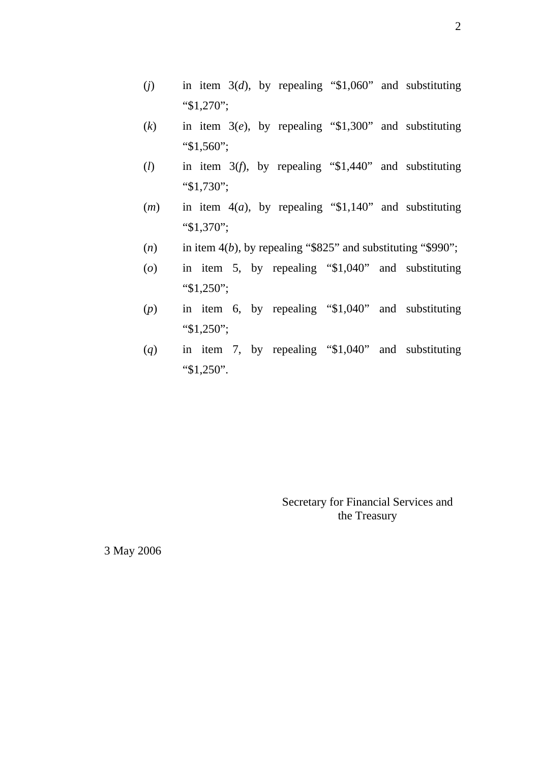- (*j*) in item 3(*d*), by repealing "\$1,060" and substituting "\$1,270";
- (*k*) in item 3(*e*), by repealing "\$1,300" and substituting "\$1,560";
- (*l*) in item 3(*f*), by repealing "\$1,440" and substituting "\$1,730";
- (*m*) in item 4(*a*), by repealing "\$1,140" and substituting "\$1,370";
- $(n)$  in item 4(*b*), by repealing "\$825" and substituting "\$990";
- (*o*) in item 5, by repealing "\$1,040" and substituting "\$1,250";
- (*p*) in item 6, by repealing "\$1,040" and substituting "\$1,250";
- (*q*) in item 7, by repealing "\$1,040" and substituting "\$1,250".

Secretary for Financial Services and the Treasury

3 May 2006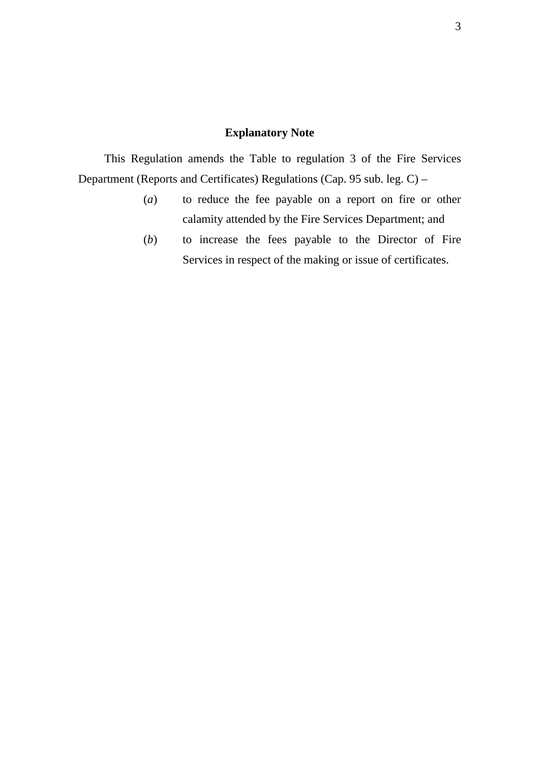#### **Explanatory Note**

This Regulation amends the Table to regulation 3 of the Fire Services Department (Reports and Certificates) Regulations (Cap. 95 sub. leg. C) –

- (*a*) to reduce the fee payable on a report on fire or other calamity attended by the Fire Services Department; and
- (*b*) to increase the fees payable to the Director of Fire Services in respect of the making or issue of certificates.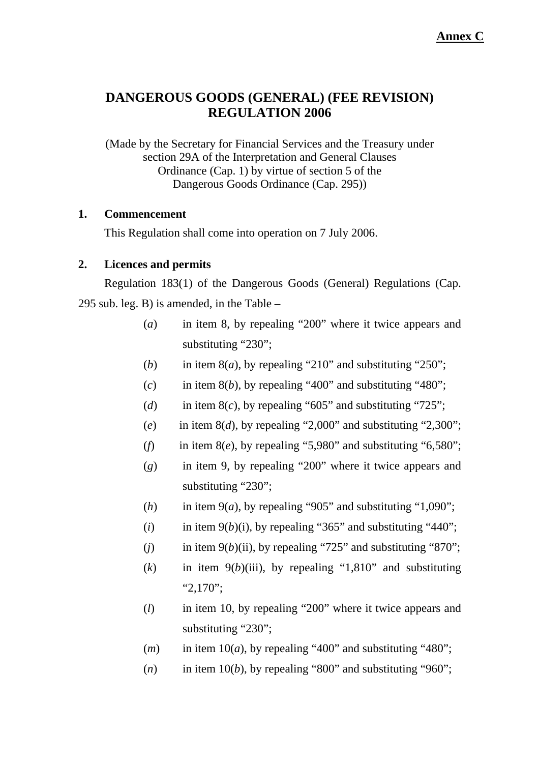### **DANGEROUS GOODS (GENERAL) (FEE REVISION) REGULATION 2006**

(Made by the Secretary for Financial Services and the Treasury under section 29A of the Interpretation and General Clauses Ordinance (Cap. 1) by virtue of section 5 of the Dangerous Goods Ordinance (Cap. 295))

#### **1. Commencement**

This Regulation shall come into operation on 7 July 2006.

#### **2. Licences and permits**

Regulation 183(1) of the Dangerous Goods (General) Regulations (Cap. 295 sub. leg. B) is amended, in the Table –

- (*a*) in item 8, by repealing "200" where it twice appears and substituting "230";
- (*b*) in item  $8(a)$ , by repealing "210" and substituting "250";
- $(c)$  in item 8(*b*), by repealing "400" and substituting "480";
- (*d*) in item  $8(c)$ , by repealing "605" and substituting "725";
- $(e)$  in item  $8(d)$ , by repealing "2,000" and substituting "2,300";
- (*f*) in item  $8(e)$ , by repealing "5,980" and substituting "6,580";
- (*g*) in item 9, by repealing "200" where it twice appears and substituting "230";
- (*h*) in item  $9(a)$ , by repealing "905" and substituting "1,090";
- $(i)$  in item  $9(b)(i)$ , by repealing "365" and substituting "440";
- (*j*) in item 9(*b*)(ii), by repealing "725" and substituting "870";
- $(k)$  in item  $9(b)$ (iii), by repealing "1,810" and substituting "2,170";
- (*l*) in item 10, by repealing "200" where it twice appears and substituting "230";
- $(m)$  in item 10(*a*), by repealing "400" and substituting "480";
- $(n)$  in item 10(*b*), by repealing "800" and substituting "960";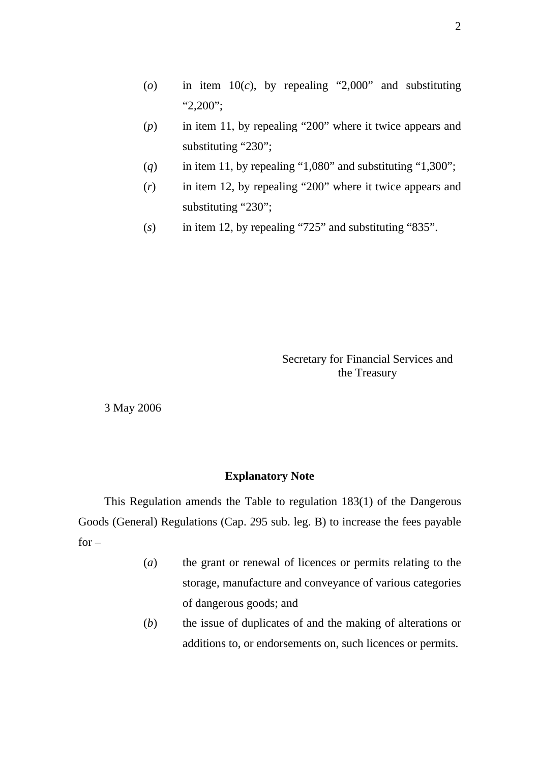- (*o*) in item 10(*c*), by repealing "2,000" and substituting "2,200";
- (*p*) in item 11, by repealing "200" where it twice appears and substituting "230";
- $(q)$  in item 11, by repealing "1,080" and substituting "1,300";
- (*r*) in item 12, by repealing "200" where it twice appears and substituting "230";
- (*s*) in item 12, by repealing "725" and substituting "835".

Secretary for Financial Services and the Treasury

3 May 2006

#### **Explanatory Note**

This Regulation amends the Table to regulation 183(1) of the Dangerous Goods (General) Regulations (Cap. 295 sub. leg. B) to increase the fees payable  $for -$ 

- (*a*) the grant or renewal of licences or permits relating to the storage, manufacture and conveyance of various categories of dangerous goods; and
- (*b*) the issue of duplicates of and the making of alterations or additions to, or endorsements on, such licences or permits.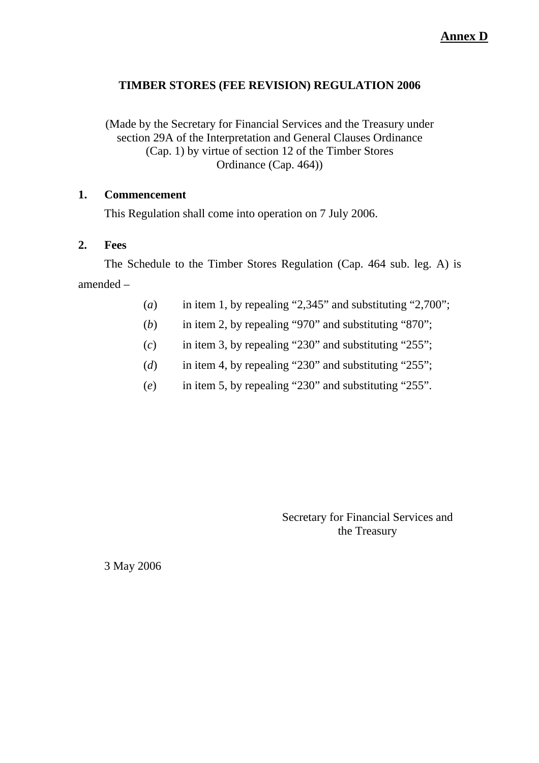#### **TIMBER STORES (FEE REVISION) REGULATION 2006**

(Made by the Secretary for Financial Services and the Treasury under section 29A of the Interpretation and General Clauses Ordinance (Cap. 1) by virtue of section 12 of the Timber Stores Ordinance (Cap. 464))

#### **1. Commencement**

This Regulation shall come into operation on 7 July 2006.

#### **2. Fees**

The Schedule to the Timber Stores Regulation (Cap. 464 sub. leg. A) is amended –

- (*a*) in item 1, by repealing "2,345" and substituting "2,700";
- (*b*) in item 2, by repealing "970" and substituting "870";
- (*c*) in item 3, by repealing "230" and substituting "255";
- (*d*) in item 4, by repealing "230" and substituting "255";
- (*e*) in item 5, by repealing "230" and substituting "255".

Secretary for Financial Services and the Treasury

3 May 2006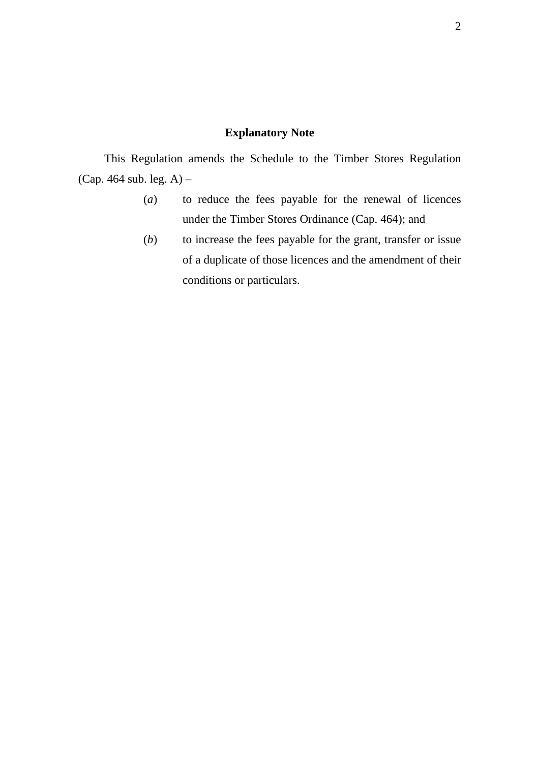#### **Explanatory Note**

This Regulation amends the Schedule to the Timber Stores Regulation (Cap. 464 sub. leg. A) –

- (*a*) to reduce the fees payable for the renewal of licences under the Timber Stores Ordinance (Cap. 464); and
- (*b*) to increase the fees payable for the grant, transfer or issue of a duplicate of those licences and the amendment of their conditions or particulars.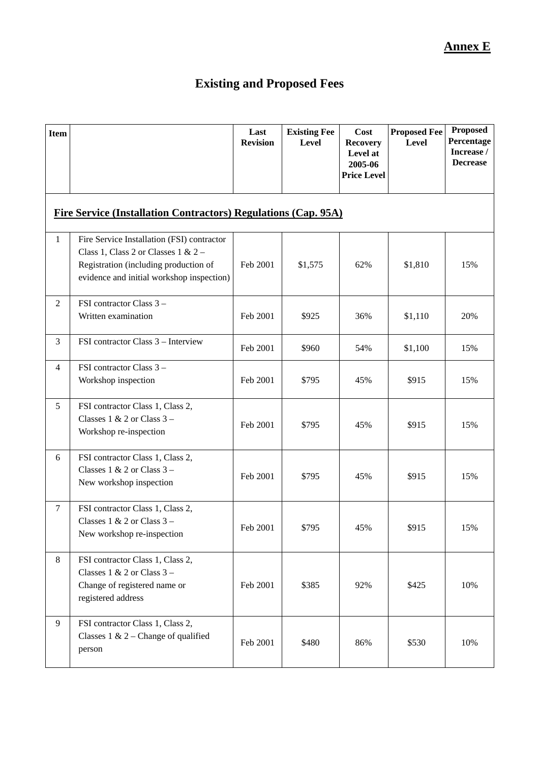# **Existing and Proposed Fees**

| <b>Item</b>    |                                                                                                                                                                           | Last<br><b>Revision</b> | <b>Existing Fee</b><br>Level | Cost<br><b>Recovery</b><br>Level at<br>2005-06<br><b>Price Level</b> | <b>Proposed Fee</b><br><b>Level</b> | <b>Proposed</b><br>Percentage<br>Increase /<br><b>Decrease</b> |  |  |
|----------------|---------------------------------------------------------------------------------------------------------------------------------------------------------------------------|-------------------------|------------------------------|----------------------------------------------------------------------|-------------------------------------|----------------------------------------------------------------|--|--|
|                | <b>Fire Service (Installation Contractors) Regulations (Cap. 95A)</b>                                                                                                     |                         |                              |                                                                      |                                     |                                                                |  |  |
| 1              | Fire Service Installation (FSI) contractor<br>Class 1, Class 2 or Classes $1 & 2 -$<br>Registration (including production of<br>evidence and initial workshop inspection) | Feb 2001                | \$1,575                      | 62%                                                                  | \$1,810                             | 15%                                                            |  |  |
| $\overline{2}$ | FSI contractor Class 3 -<br>Written examination                                                                                                                           | Feb 2001                | \$925                        | 36%                                                                  | \$1,110                             | 20%                                                            |  |  |
| 3              | FSI contractor Class 3 - Interview                                                                                                                                        | Feb 2001                | \$960                        | 54%                                                                  | \$1,100                             | 15%                                                            |  |  |
| $\overline{4}$ | FSI contractor Class 3 -<br>Workshop inspection                                                                                                                           | Feb 2001                | \$795                        | 45%                                                                  | \$915                               | 15%                                                            |  |  |
| 5              | FSI contractor Class 1, Class 2,<br>Classes $1 & 2$ or Class $3 -$<br>Workshop re-inspection                                                                              | Feb 2001                | \$795                        | 45%                                                                  | \$915                               | 15%                                                            |  |  |
| 6              | FSI contractor Class 1, Class 2,<br>Classes $1 & 2$ or Class $3 -$<br>New workshop inspection                                                                             | Feb 2001                | \$795                        | 45%                                                                  | \$915                               | 15%                                                            |  |  |
| $\tau$         | FSI contractor Class 1, Class 2,<br>Classes $1 \& 2$ or Class $3 -$<br>New workshop re-inspection                                                                         | Feb 2001                | \$795                        | 45%                                                                  | \$915                               | 15%                                                            |  |  |
| 8              | FSI contractor Class 1, Class 2,<br>Classes $1 & 2$ or Class $3 -$<br>Change of registered name or<br>registered address                                                  | Feb 2001                | \$385                        | 92%                                                                  | \$425                               | 10%                                                            |  |  |
| 9              | FSI contractor Class 1, Class 2,<br>Classes $1 \& 2$ – Change of qualified<br>person                                                                                      | Feb 2001                | \$480                        | 86%                                                                  | \$530                               | 10%                                                            |  |  |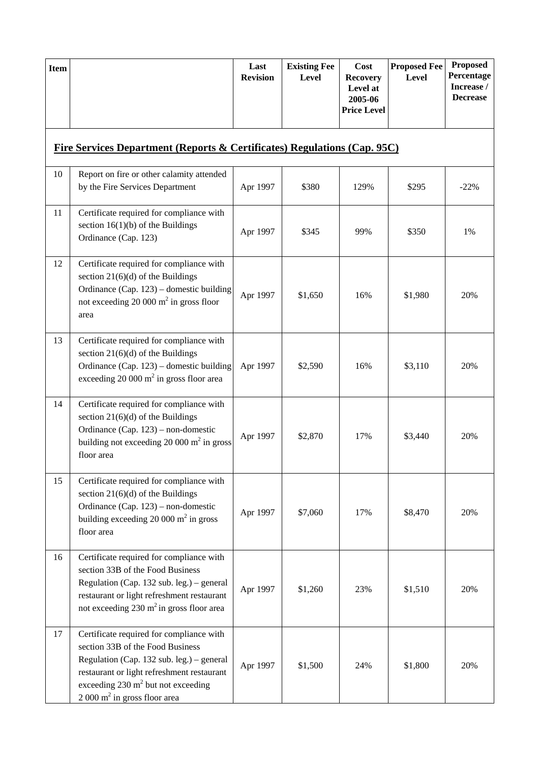| <b>Item</b> |                                                                                                                                                                                                                                                                    | Last<br><b>Revision</b> | <b>Existing Fee</b><br><b>Level</b> | Cost<br><b>Recovery</b><br>Level at<br>2005-06<br><b>Price Level</b> | <b>Proposed Fee</b><br><b>Level</b> | Proposed<br>Percentage<br>Increase /<br><b>Decrease</b> |
|-------------|--------------------------------------------------------------------------------------------------------------------------------------------------------------------------------------------------------------------------------------------------------------------|-------------------------|-------------------------------------|----------------------------------------------------------------------|-------------------------------------|---------------------------------------------------------|
|             | <u>Fire Services Department (Reports &amp; Certificates) Regulations (Cap. 95C)</u>                                                                                                                                                                                |                         |                                     |                                                                      |                                     |                                                         |
| 10          | Report on fire or other calamity attended<br>by the Fire Services Department                                                                                                                                                                                       | Apr 1997                | \$380                               | 129%                                                                 | \$295                               | $-22%$                                                  |
| 11          | Certificate required for compliance with<br>section $16(1)(b)$ of the Buildings<br>Ordinance (Cap. 123)                                                                                                                                                            | Apr 1997                | \$345                               | 99%                                                                  | \$350                               | 1%                                                      |
| 12          | Certificate required for compliance with<br>section $21(6)(d)$ of the Buildings<br>Ordinance (Cap. 123) – domestic building<br>not exceeding 20 000 $m^2$ in gross floor<br>area                                                                                   | Apr 1997                | \$1,650                             | 16%                                                                  | \$1,980                             | 20%                                                     |
| 13          | Certificate required for compliance with<br>section $21(6)(d)$ of the Buildings<br>Ordinance (Cap. 123) – domestic building<br>exceeding $20000 \text{ m}^2$ in gross floor area                                                                                   | Apr 1997                | \$2,590                             | 16%                                                                  | \$3,110                             | 20%                                                     |
| 14          | Certificate required for compliance with<br>section $21(6)(d)$ of the Buildings<br>Ordinance (Cap. 123) – non-domestic<br>building not exceeding 20 000 $m^2$ in gross<br>floor area                                                                               | Apr 1997                | \$2,870                             | 17%                                                                  | \$3,440                             | 20%                                                     |
| 15          | Certificate required for compliance with<br>section $21(6)(d)$ of the Buildings<br>Ordinance (Cap. 123) – non-domestic<br>building exceeding 20 000 $m2$ in gross<br>floor area                                                                                    | Apr 1997                | \$7,060                             | 17%                                                                  | \$8,470                             | 20%                                                     |
| 16          | Certificate required for compliance with<br>section 33B of the Food Business<br>Regulation (Cap. 132 sub. leg.) – general<br>restaurant or light refreshment restaurant<br>not exceeding $230 \text{ m}^2$ in gross floor area                                     | Apr 1997                | \$1,260                             | 23%                                                                  | \$1,510                             | 20%                                                     |
| 17          | Certificate required for compliance with<br>section 33B of the Food Business<br>Regulation (Cap. 132 sub. leg.) – general<br>restaurant or light refreshment restaurant<br>exceeding $230 \text{ m}^2$ but not exceeding<br>$2000 \text{ m}^2$ in gross floor area | Apr 1997                | \$1,500                             | 24%                                                                  | \$1,800                             | 20%                                                     |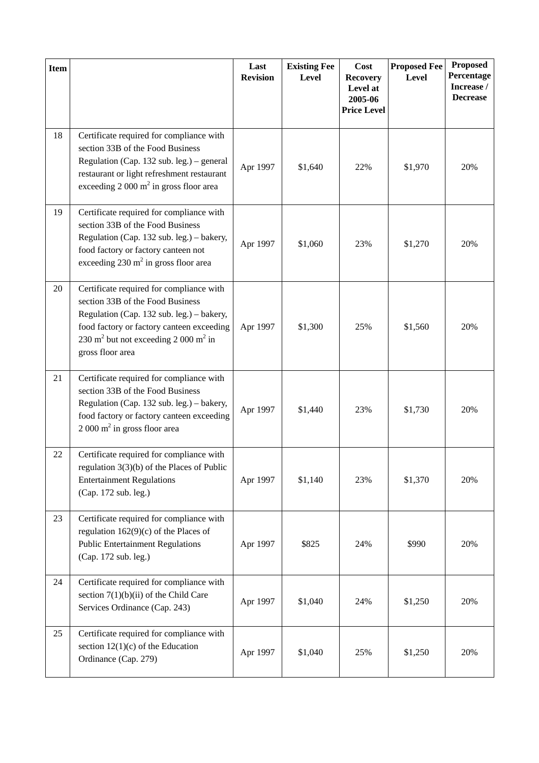| <b>Item</b> |                                                                                                                                                                                                                                                            | Last<br><b>Revision</b> | <b>Existing Fee</b><br>Level | Cost<br><b>Recovery</b><br>Level at<br>2005-06<br><b>Price Level</b> | <b>Proposed Fee</b><br><b>Level</b> | <b>Proposed</b><br>Percentage<br>Increase /<br><b>Decrease</b> |
|-------------|------------------------------------------------------------------------------------------------------------------------------------------------------------------------------------------------------------------------------------------------------------|-------------------------|------------------------------|----------------------------------------------------------------------|-------------------------------------|----------------------------------------------------------------|
| 18          | Certificate required for compliance with<br>section 33B of the Food Business<br>Regulation (Cap. 132 sub. leg.) – general<br>restaurant or light refreshment restaurant<br>exceeding $2000 \text{ m}^2$ in gross floor area                                | Apr 1997                | \$1,640                      | 22%                                                                  | \$1,970                             | 20%                                                            |
| 19          | Certificate required for compliance with<br>section 33B of the Food Business<br>Regulation (Cap. 132 sub. leg.) - bakery,<br>food factory or factory canteen not<br>exceeding $230 \text{ m}^2$ in gross floor area                                        | Apr 1997                | \$1,060                      | 23%                                                                  | \$1,270                             | 20%                                                            |
| 20          | Certificate required for compliance with<br>section 33B of the Food Business<br>Regulation (Cap. 132 sub. leg.) – bakery,<br>food factory or factory canteen exceeding<br>230 m <sup>2</sup> but not exceeding 2 000 m <sup>2</sup> in<br>gross floor area | Apr 1997                | \$1,300                      | 25%                                                                  | \$1,560                             | 20%                                                            |
| 21          | Certificate required for compliance with<br>section 33B of the Food Business<br>Regulation (Cap. 132 sub. leg.) - bakery,<br>food factory or factory canteen exceeding<br>$2000 \text{ m}^2$ in gross floor area                                           | Apr 1997                | \$1,440                      | 23%                                                                  | \$1,730                             | 20%                                                            |
| 22          | Certificate required for compliance with<br>regulation $3(3)(b)$ of the Places of Public<br><b>Entertainment Regulations</b><br>(Cap. 172 sub. leg.)                                                                                                       | Apr 1997                | \$1,140                      | 23%                                                                  | \$1,370                             | 20%                                                            |
| 23          | Certificate required for compliance with<br>regulation $162(9)(c)$ of the Places of<br><b>Public Entertainment Regulations</b><br>(Cap. 172 sub. leg.)                                                                                                     | Apr 1997                | \$825                        | 24%                                                                  | \$990                               | 20%                                                            |
| 24          | Certificate required for compliance with<br>section $7(1)(b)(ii)$ of the Child Care<br>Services Ordinance (Cap. 243)                                                                                                                                       | Apr 1997                | \$1,040                      | 24%                                                                  | \$1,250                             | 20%                                                            |
| 25          | Certificate required for compliance with<br>section $12(1)(c)$ of the Education<br>Ordinance (Cap. 279)                                                                                                                                                    | Apr 1997                | \$1,040                      | 25%                                                                  | \$1,250                             | 20%                                                            |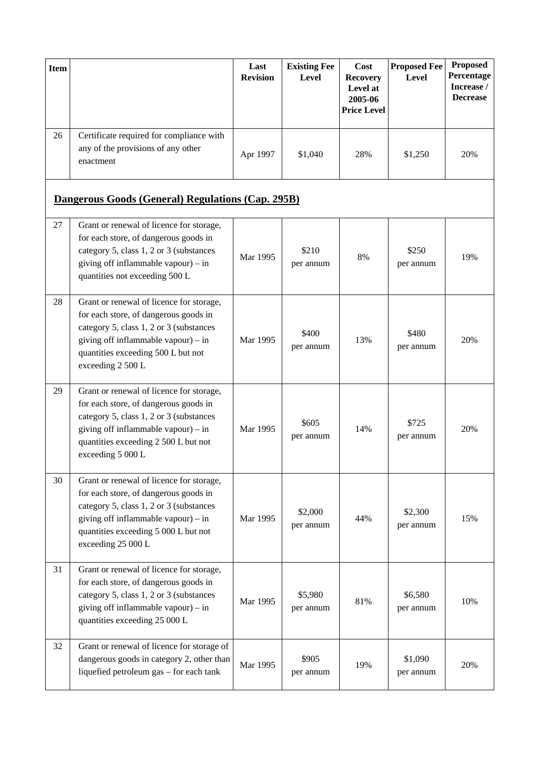| <b>Item</b> |                                                                                             | Last<br><b>Revision</b> | <b>Existing Fee</b><br><b>Level</b> | Cost<br><b>Recovery</b><br>Level at<br>2005-06<br><b>Price Level</b> | <b>Proposed Fee</b><br><b>Level</b> | <b>Proposed</b><br><b>Percentage</b><br>Increase /<br><b>Decrease</b> |
|-------------|---------------------------------------------------------------------------------------------|-------------------------|-------------------------------------|----------------------------------------------------------------------|-------------------------------------|-----------------------------------------------------------------------|
| 26          | Certificate required for compliance with<br>any of the provisions of any other<br>enactment | Apr 1997                | \$1,040                             | 28%                                                                  | \$1,250                             | 20%                                                                   |

# **Dangerous Goods (General) Regulations (Cap. 295B)**

| 27 | Grant or renewal of licence for storage,<br>for each store, of dangerous goods in<br>category 5, class 1, 2 or 3 (substances<br>giving off inflammable vapour) – in<br>quantities not exceeding 500 L                             | Mar 1995 | \$210<br>per annum   | 8%  | \$250<br>per annum   | 19% |
|----|-----------------------------------------------------------------------------------------------------------------------------------------------------------------------------------------------------------------------------------|----------|----------------------|-----|----------------------|-----|
| 28 | Grant or renewal of licence for storage,<br>for each store, of dangerous goods in<br>category 5, class 1, 2 or 3 (substances<br>giving off inflammable vapour) – in<br>quantities exceeding 500 L but not<br>exceeding 2 500 L    | Mar 1995 | \$400<br>per annum   | 13% | \$480<br>per annum   | 20% |
| 29 | Grant or renewal of licence for storage,<br>for each store, of dangerous goods in<br>category 5, class 1, 2 or 3 (substances<br>giving off inflammable vapour) – in<br>quantities exceeding 2 500 L but not<br>exceeding 5 000 L  | Mar 1995 | \$605<br>per annum   | 14% | \$725<br>per annum   | 20% |
| 30 | Grant or renewal of licence for storage,<br>for each store, of dangerous goods in<br>category 5, class 1, 2 or 3 (substances<br>giving off inflammable vapour) - in<br>quantities exceeding 5 000 L but not<br>exceeding 25 000 L | Mar 1995 | \$2,000<br>per annum | 44% | \$2,300<br>per annum | 15% |
| 31 | Grant or renewal of licence for storage,<br>for each store, of dangerous goods in<br>category 5, class 1, 2 or 3 (substances<br>giving off inflammable vapour) - in<br>quantities exceeding 25 000 L                              | Mar 1995 | \$5,980<br>per annum | 81% | \$6,580<br>per annum | 10% |
| 32 | Grant or renewal of licence for storage of<br>dangerous goods in category 2, other than<br>liquefied petroleum gas - for each tank                                                                                                | Mar 1995 | \$905<br>per annum   | 19% | \$1,090<br>per annum | 20% |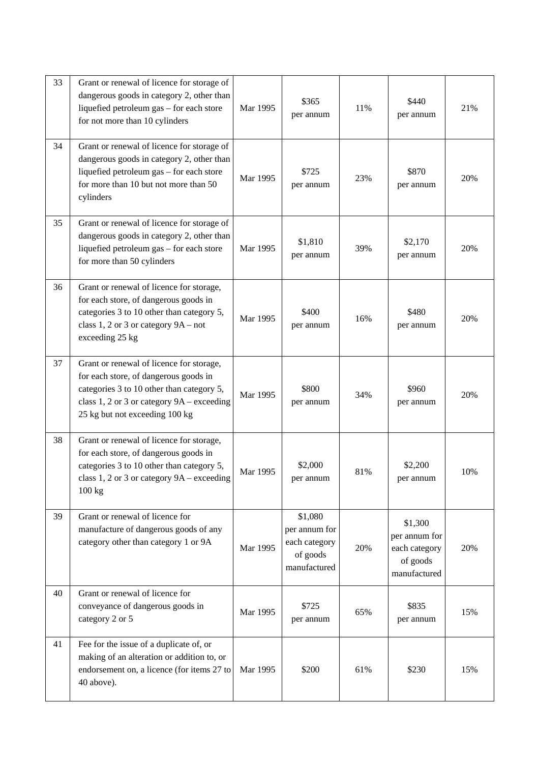| 33 | Grant or renewal of licence for storage of<br>dangerous goods in category 2, other than<br>liquefied petroleum gas - for each store<br>for not more than 10 cylinders                                          | Mar 1995 | \$365<br>per annum                                                    | 11% | \$440<br>per annum                                                    | 21% |
|----|----------------------------------------------------------------------------------------------------------------------------------------------------------------------------------------------------------------|----------|-----------------------------------------------------------------------|-----|-----------------------------------------------------------------------|-----|
| 34 | Grant or renewal of licence for storage of<br>dangerous goods in category 2, other than<br>liquefied petroleum gas - for each store<br>for more than 10 but not more than 50<br>cylinders                      | Mar 1995 | \$725<br>per annum                                                    | 23% | \$870<br>per annum                                                    | 20% |
| 35 | Grant or renewal of licence for storage of<br>dangerous goods in category 2, other than<br>liquefied petroleum gas - for each store<br>for more than 50 cylinders                                              | Mar 1995 | \$1,810<br>per annum                                                  | 39% | \$2,170<br>per annum                                                  | 20% |
| 36 | Grant or renewal of licence for storage,<br>for each store, of dangerous goods in<br>categories 3 to 10 other than category 5,<br>class 1, 2 or 3 or category $9A - not$<br>exceeding 25 kg                    | Mar 1995 | \$400<br>per annum                                                    | 16% | \$480<br>per annum                                                    | 20% |
| 37 | Grant or renewal of licence for storage,<br>for each store, of dangerous goods in<br>categories 3 to 10 other than category 5,<br>class 1, 2 or 3 or category 9A – exceeding<br>25 kg but not exceeding 100 kg | Mar 1995 | \$800<br>per annum                                                    | 34% | \$960<br>per annum                                                    | 20% |
| 38 | Grant or renewal of licence for storage,<br>for each store, of dangerous goods in<br>categories 3 to 10 other than category 5,<br>class 1, 2 or 3 or category 9A - exceeding<br>100 kg                         | Mar 1995 | \$2,000<br>per annum                                                  | 81% | \$2,200<br>per annum                                                  | 10% |
| 39 | Grant or renewal of licence for<br>manufacture of dangerous goods of any<br>category other than category 1 or 9A                                                                                               | Mar 1995 | \$1,080<br>per annum for<br>each category<br>of goods<br>manufactured | 20% | \$1,300<br>per annum for<br>each category<br>of goods<br>manufactured | 20% |
| 40 | Grant or renewal of licence for<br>conveyance of dangerous goods in<br>category 2 or 5                                                                                                                         | Mar 1995 | \$725<br>per annum                                                    | 65% | \$835<br>per annum                                                    | 15% |
| 41 | Fee for the issue of a duplicate of, or<br>making of an alteration or addition to, or<br>endorsement on, a licence (for items 27 to<br>40 above).                                                              | Mar 1995 | \$200                                                                 | 61% | \$230                                                                 | 15% |